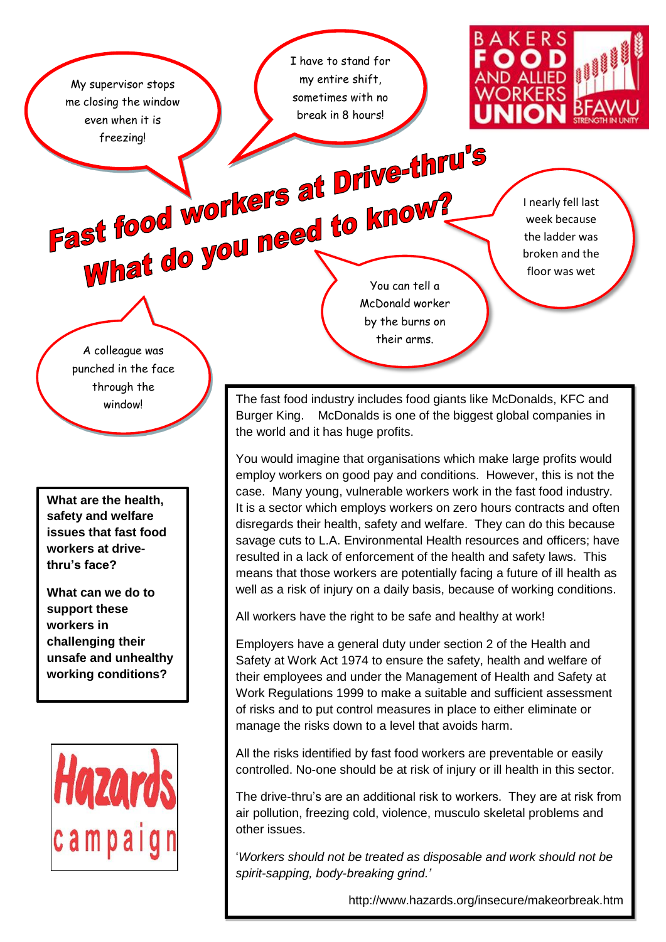My supervisor stops me closing the window even when it is

I have to stand for my entire shift, sometimes with no break in 8 hours!



Fast food workers at Drive-thru's What do you need to know?

McDonald worker by the burns on their arms.

I nearly fell last week because the ladder was broken and the floor was wet

A colleague was punched in the face through the

**What are the health, safety and welfare issues that fast food workers at drivethru's face?**

**What can we do to support these workers in challenging their unsafe and unhealthy working conditions?**



window! The fast food industry includes food giants like McDonalds, KFC and<br>Burger King. McDonalds is one of the biggest global companies in McDonalds is one of the biggest global companies in the world and it has huge profits.

> You would imagine that organisations which make large profits would employ workers on good pay and conditions. However, this is not the case. Many young, vulnerable workers work in the fast food industry. It is a sector which employs workers on zero hours contracts and often disregards their health, safety and welfare. They can do this because savage cuts to L.A. Environmental Health resources and officers; have resulted in a lack of enforcement of the health and safety laws. This means that those workers are potentially facing a future of ill health as well as a risk of injury on a daily basis, because of working conditions.

All workers have the right to be safe and healthy at work!

Employers have a general duty under section 2 of the Health and Safety at Work Act 1974 to ensure the safety, health and welfare of their employees and under the Management of Health and Safety at Work Regulations 1999 to make a suitable and sufficient assessment of risks and to put control measures in place to either eliminate or manage the risks down to a level that avoids harm.

All the risks identified by fast food workers are preventable or easily controlled. No-one should be at risk of injury or ill health in this sector.

The drive-thru's are an additional risk to workers. They are at risk from air pollution, freezing cold, violence, musculo skeletal problems and other issues.

'*Workers should not be treated as disposable and work should not be spirit-sapping, body-breaking grind.'*

http://www.hazards.org/insecure/makeorbreak.htm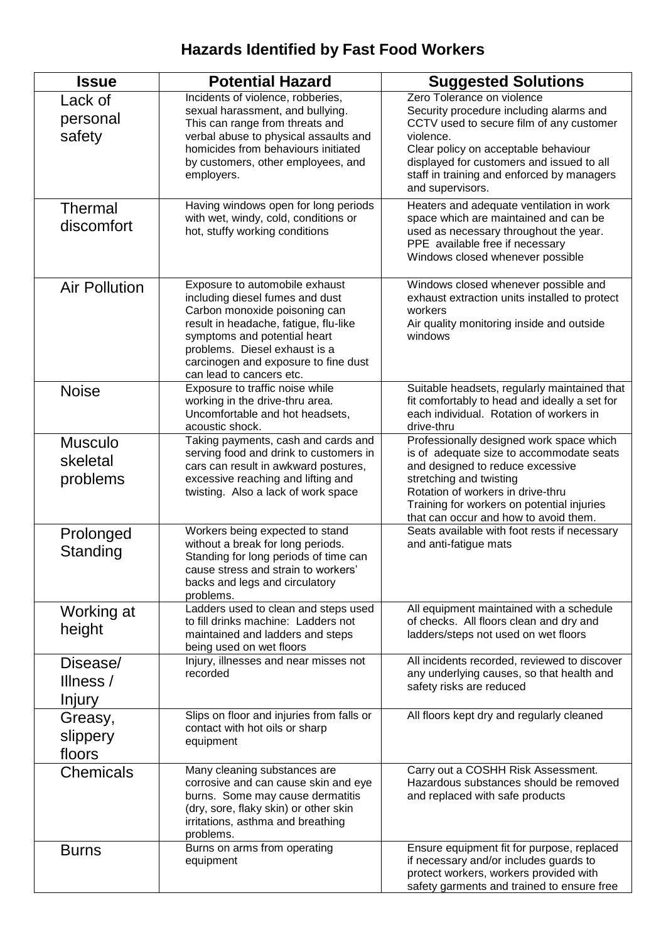## **Hazards Identified by Fast Food Workers**

| <b>Issue</b>                           | <b>Potential Hazard</b>                                                                                                                                                                                                                                                          | <b>Suggested Solutions</b>                                                                                                                                                                                                                                                            |  |
|----------------------------------------|----------------------------------------------------------------------------------------------------------------------------------------------------------------------------------------------------------------------------------------------------------------------------------|---------------------------------------------------------------------------------------------------------------------------------------------------------------------------------------------------------------------------------------------------------------------------------------|--|
| Lack of<br>personal<br>safety          | Incidents of violence, robberies,<br>sexual harassment, and bullying.<br>This can range from threats and<br>verbal abuse to physical assaults and<br>homicides from behaviours initiated<br>by customers, other employees, and<br>employers.                                     | Zero Tolerance on violence<br>Security procedure including alarms and<br>CCTV used to secure film of any customer<br>violence.<br>Clear policy on acceptable behaviour<br>displayed for customers and issued to all<br>staff in training and enforced by managers<br>and supervisors. |  |
| <b>Thermal</b><br>discomfort           | Having windows open for long periods<br>with wet, windy, cold, conditions or<br>hot, stuffy working conditions                                                                                                                                                                   | Heaters and adequate ventilation in work<br>space which are maintained and can be<br>used as necessary throughout the year.<br>PPE available free if necessary<br>Windows closed whenever possible                                                                                    |  |
| <b>Air Pollution</b>                   | Exposure to automobile exhaust<br>including diesel fumes and dust<br>Carbon monoxide poisoning can<br>result in headache, fatigue, flu-like<br>symptoms and potential heart<br>problems. Diesel exhaust is a<br>carcinogen and exposure to fine dust<br>can lead to cancers etc. | Windows closed whenever possible and<br>exhaust extraction units installed to protect<br>workers<br>Air quality monitoring inside and outside<br>windows                                                                                                                              |  |
| <b>Noise</b>                           | Exposure to traffic noise while<br>working in the drive-thru area.<br>Uncomfortable and hot headsets,<br>acoustic shock.                                                                                                                                                         | Suitable headsets, regularly maintained that<br>fit comfortably to head and ideally a set for<br>each individual. Rotation of workers in<br>drive-thru                                                                                                                                |  |
| <b>Musculo</b><br>skeletal<br>problems | Taking payments, cash and cards and<br>serving food and drink to customers in<br>cars can result in awkward postures,<br>excessive reaching and lifting and<br>twisting. Also a lack of work space                                                                               | Professionally designed work space which<br>is of adequate size to accommodate seats<br>and designed to reduce excessive<br>stretching and twisting<br>Rotation of workers in drive-thru<br>Training for workers on potential injuries<br>that can occur and how to avoid them.       |  |
| Prolonged<br>Standing                  | Workers being expected to stand<br>without a break for long periods.<br>Standing for long periods of time can<br>cause stress and strain to workers'<br>backs and legs and circulatory<br>problems.                                                                              | Seats available with foot rests if necessary<br>and anti-fatigue mats                                                                                                                                                                                                                 |  |
| Working at<br>height                   | Ladders used to clean and steps used<br>to fill drinks machine: Ladders not<br>maintained and ladders and steps<br>being used on wet floors                                                                                                                                      | All equipment maintained with a schedule<br>of checks. All floors clean and dry and<br>ladders/steps not used on wet floors                                                                                                                                                           |  |
| Disease/<br>Illness /<br><b>Injury</b> | Injury, illnesses and near misses not<br>recorded                                                                                                                                                                                                                                | All incidents recorded, reviewed to discover<br>any underlying causes, so that health and<br>safety risks are reduced                                                                                                                                                                 |  |
| Greasy,<br>slippery<br>floors          | Slips on floor and injuries from falls or<br>contact with hot oils or sharp<br>equipment                                                                                                                                                                                         | All floors kept dry and regularly cleaned                                                                                                                                                                                                                                             |  |
| <b>Chemicals</b>                       | Many cleaning substances are<br>corrosive and can cause skin and eye<br>burns. Some may cause dermatitis<br>(dry, sore, flaky skin) or other skin<br>irritations, asthma and breathing<br>problems.                                                                              | Carry out a COSHH Risk Assessment.<br>Hazardous substances should be removed<br>and replaced with safe products                                                                                                                                                                       |  |
| <b>Burns</b>                           | Burns on arms from operating<br>equipment                                                                                                                                                                                                                                        | Ensure equipment fit for purpose, replaced<br>if necessary and/or includes guards to<br>protect workers, workers provided with<br>safety garments and trained to ensure free                                                                                                          |  |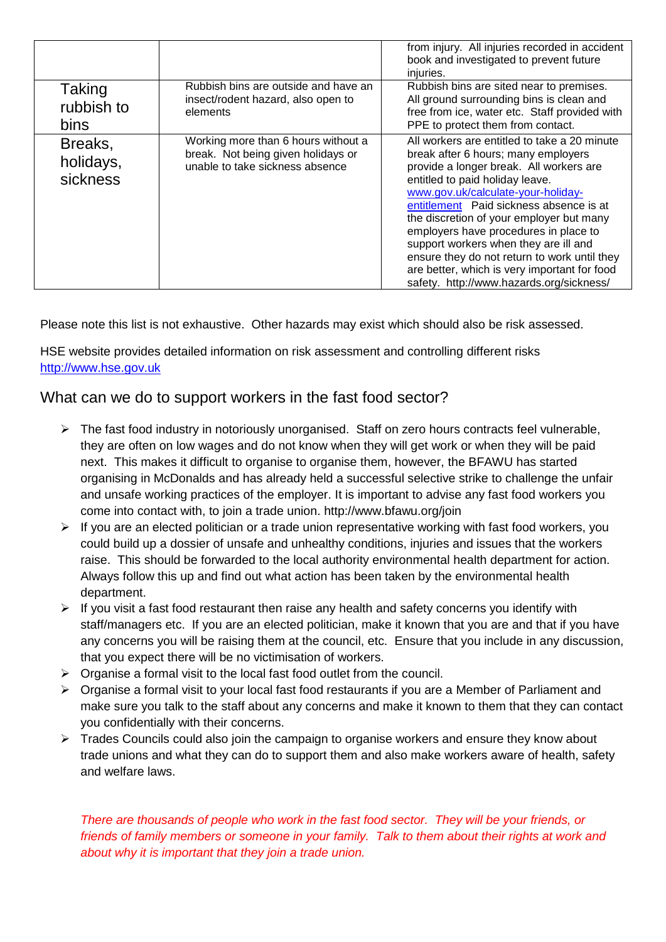|                                     |                                                                                                              | from injury. All injuries recorded in accident<br>book and investigated to prevent future<br>injuries.                                                                                                                                                                                                                                                                                                                                                                                                                       |
|-------------------------------------|--------------------------------------------------------------------------------------------------------------|------------------------------------------------------------------------------------------------------------------------------------------------------------------------------------------------------------------------------------------------------------------------------------------------------------------------------------------------------------------------------------------------------------------------------------------------------------------------------------------------------------------------------|
| Taking<br>rubbish to<br><b>bins</b> | Rubbish bins are outside and have an<br>insect/rodent hazard, also open to<br>elements                       | Rubbish bins are sited near to premises.<br>All ground surrounding bins is clean and<br>free from ice, water etc. Staff provided with<br>PPE to protect them from contact.                                                                                                                                                                                                                                                                                                                                                   |
| Breaks,<br>holidays,<br>sickness    | Working more than 6 hours without a<br>break. Not being given holidays or<br>unable to take sickness absence | All workers are entitled to take a 20 minute<br>break after 6 hours; many employers<br>provide a longer break. All workers are<br>entitled to paid holiday leave.<br>www.gov.uk/calculate-your-holiday-<br>entitlement Paid sickness absence is at<br>the discretion of your employer but many<br>employers have procedures in place to<br>support workers when they are ill and<br>ensure they do not return to work until they<br>are better, which is very important for food<br>safety. http://www.hazards.org/sickness/ |

Please note this list is not exhaustive. Other hazards may exist which should also be risk assessed.

HSE website provides detailed information on risk assessment and controlling different risks [http://www.hse.gov.uk](http://www.hse.gov.uk/)

## What can we do to support workers in the fast food sector?

- $\triangleright$  The fast food industry in notoriously unorganised. Staff on zero hours contracts feel vulnerable, they are often on low wages and do not know when they will get work or when they will be paid next. This makes it difficult to organise to organise them, however, the BFAWU has started organising in McDonalds and has already held a successful selective strike to challenge the unfair and unsafe working practices of the employer. It is important to advise any fast food workers you come into contact with, to join a trade union. http://www.bfawu.org/join
- $\triangleright$  If you are an elected politician or a trade union representative working with fast food workers, you could build up a dossier of unsafe and unhealthy conditions, injuries and issues that the workers raise. This should be forwarded to the local authority environmental health department for action. Always follow this up and find out what action has been taken by the environmental health department.
- $\triangleright$  If you visit a fast food restaurant then raise any health and safety concerns you identify with staff/managers etc. If you are an elected politician, make it known that you are and that if you have any concerns you will be raising them at the council, etc. Ensure that you include in any discussion, that you expect there will be no victimisation of workers.
- $\triangleright$  Organise a formal visit to the local fast food outlet from the council.
- $\triangleright$  Organise a formal visit to your local fast food restaurants if you are a Member of Parliament and make sure you talk to the staff about any concerns and make it known to them that they can contact you confidentially with their concerns.
- $\triangleright$  Trades Councils could also join the campaign to organise workers and ensure they know about trade unions and what they can do to support them and also make workers aware of health, safety and welfare laws.

*There are thousands of people who work in the fast food sector. They will be your friends, or friends of family members or someone in your family. Talk to them about their rights at work and about why it is important that they join a trade union.*